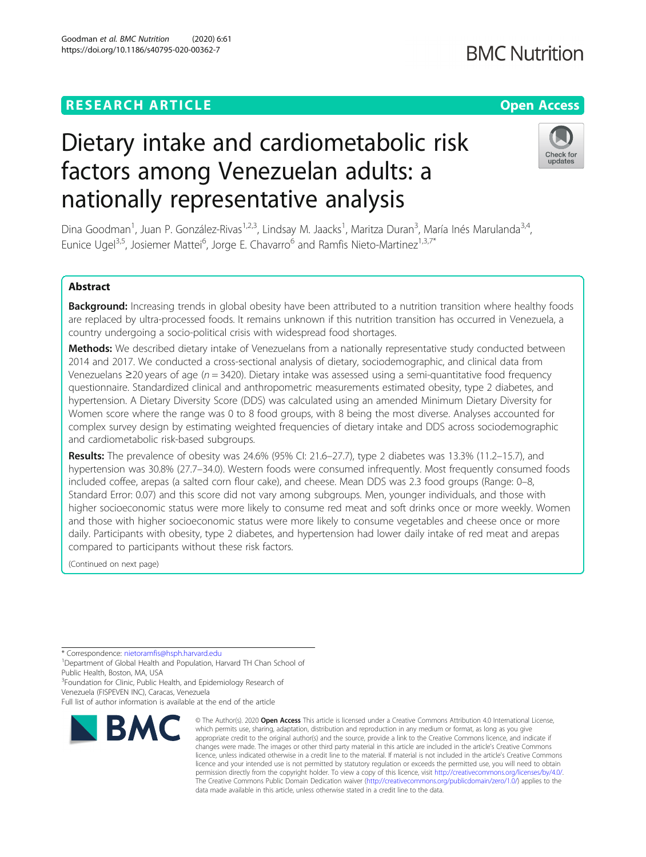# **RESEARCH ARTICLE Example 2014 12:30 The Contract of Contract ACCESS**

# Dietary intake and cardiometabolic risk factors among Venezuelan adults: a nationally representative analysis

Dina Goodman<sup>1</sup>, Juan P. González-Rivas<sup>1,2,3</sup>, Lindsay M. Jaacks<sup>1</sup>, Maritza Duran<sup>3</sup>, María Inés Marulanda<sup>3,4</sup>, Eunice Ugel<sup>3,5</sup>, Josiemer Mattei<sup>6</sup>, Jorge E. Chavarro<sup>6</sup> and Ramfis Nieto-Martinez<sup>1,3,7\*</sup>

# Abstract

Background: Increasing trends in global obesity have been attributed to a nutrition transition where healthy foods are replaced by ultra-processed foods. It remains unknown if this nutrition transition has occurred in Venezuela, a country undergoing a socio-political crisis with widespread food shortages.

Methods: We described dietary intake of Venezuelans from a nationally representative study conducted between 2014 and 2017. We conducted a cross-sectional analysis of dietary, sociodemographic, and clinical data from Venezuelans ≥20 years of age ( $n = 3420$ ). Dietary intake was assessed using a semi-quantitative food frequency questionnaire. Standardized clinical and anthropometric measurements estimated obesity, type 2 diabetes, and hypertension. A Dietary Diversity Score (DDS) was calculated using an amended Minimum Dietary Diversity for Women score where the range was 0 to 8 food groups, with 8 being the most diverse. Analyses accounted for complex survey design by estimating weighted frequencies of dietary intake and DDS across sociodemographic and cardiometabolic risk-based subgroups.

Results: The prevalence of obesity was 24.6% (95% CI: 21.6–27.7), type 2 diabetes was 13.3% (11.2–15.7), and hypertension was 30.8% (27.7–34.0). Western foods were consumed infrequently. Most frequently consumed foods included coffee, arepas (a salted corn flour cake), and cheese. Mean DDS was 2.3 food groups (Range: 0–8, Standard Error: 0.07) and this score did not vary among subgroups. Men, younger individuals, and those with higher socioeconomic status were more likely to consume red meat and soft drinks once or more weekly. Women and those with higher socioeconomic status were more likely to consume vegetables and cheese once or more daily. Participants with obesity, type 2 diabetes, and hypertension had lower daily intake of red meat and arepas compared to participants without these risk factors.

(Continued on next page)

\* Correspondence: [nietoramfis@hsph.harvard.edu](mailto:nietoramfis@hsph.harvard.edu) <sup>1</sup>

<sup>1</sup>Department of Global Health and Population, Harvard TH Chan School of Public Health, Boston, MA, USA

<sup>3</sup> Foundation for Clinic, Public Health, and Epidemiology Research of Venezuela (FISPEVEN INC), Caracas, Venezuela

Full list of author information is available at the end of the article



© The Author(s), 2020 **Open Access** This article is licensed under a Creative Commons Attribution 4.0 International License, which permits use, sharing, adaptation, distribution and reproduction in any medium or format, as long as you give appropriate credit to the original author(s) and the source, provide a link to the Creative Commons licence, and indicate if changes were made. The images or other third party material in this article are included in the article's Creative Commons licence, unless indicated otherwise in a credit line to the material. If material is not included in the article's Creative Commons licence and your intended use is not permitted by statutory regulation or exceeds the permitted use, you will need to obtain permission directly from the copyright holder. To view a copy of this licence, visit [http://creativecommons.org/licenses/by/4.0/.](http://creativecommons.org/licenses/by/4.0/) The Creative Commons Public Domain Dedication waiver [\(http://creativecommons.org/publicdomain/zero/1.0/](http://creativecommons.org/publicdomain/zero/1.0/)) applies to the data made available in this article, unless otherwise stated in a credit line to the data.

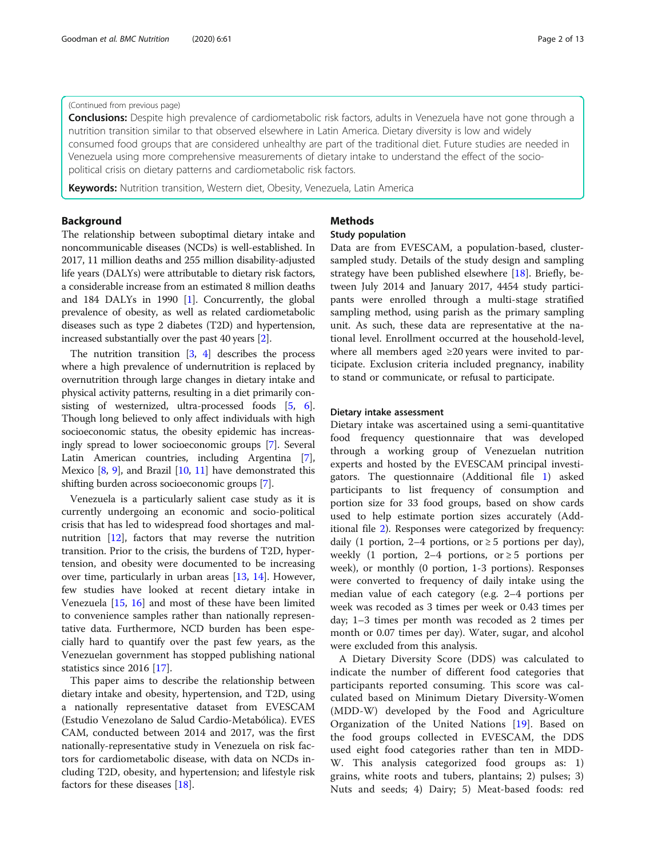# (Continued from previous page)

Conclusions: Despite high prevalence of cardiometabolic risk factors, adults in Venezuela have not gone through a nutrition transition similar to that observed elsewhere in Latin America. Dietary diversity is low and widely consumed food groups that are considered unhealthy are part of the traditional diet. Future studies are needed in Venezuela using more comprehensive measurements of dietary intake to understand the effect of the sociopolitical crisis on dietary patterns and cardiometabolic risk factors.

Keywords: Nutrition transition, Western diet, Obesity, Venezuela, Latin America

# Background

The relationship between suboptimal dietary intake and noncommunicable diseases (NCDs) is well-established. In 2017, 11 million deaths and 255 million disability-adjusted life years (DALYs) were attributable to dietary risk factors, a considerable increase from an estimated 8 million deaths and 184 DALYs in 1990 [\[1](#page-11-0)]. Concurrently, the global prevalence of obesity, as well as related cardiometabolic diseases such as type 2 diabetes (T2D) and hypertension, increased substantially over the past 40 years [\[2](#page-11-0)].

The nutrition transition [\[3](#page-11-0), [4\]](#page-11-0) describes the process where a high prevalence of undernutrition is replaced by overnutrition through large changes in dietary intake and physical activity patterns, resulting in a diet primarily consisting of westernized, ultra-processed foods [[5](#page-11-0), [6](#page-11-0)]. Though long believed to only affect individuals with high socioeconomic status, the obesity epidemic has increasingly spread to lower socioeconomic groups [[7\]](#page-11-0). Several Latin American countries, including Argentina [[7](#page-11-0)], Mexico [\[8,](#page-11-0) [9](#page-11-0)], and Brazil [\[10](#page-11-0), [11](#page-11-0)] have demonstrated this shifting burden across socioeconomic groups [[7](#page-11-0)].

Venezuela is a particularly salient case study as it is currently undergoing an economic and socio-political crisis that has led to widespread food shortages and malnutrition [\[12\]](#page-11-0), factors that may reverse the nutrition transition. Prior to the crisis, the burdens of T2D, hypertension, and obesity were documented to be increasing over time, particularly in urban areas [[13,](#page-11-0) [14](#page-11-0)]. However, few studies have looked at recent dietary intake in Venezuela [\[15](#page-11-0), [16\]](#page-11-0) and most of these have been limited to convenience samples rather than nationally representative data. Furthermore, NCD burden has been especially hard to quantify over the past few years, as the Venezuelan government has stopped publishing national statistics since 2016 [[17](#page-11-0)].

This paper aims to describe the relationship between dietary intake and obesity, hypertension, and T2D, using a nationally representative dataset from EVESCAM (Estudio Venezolano de Salud Cardio-Metabólica). EVES CAM, conducted between 2014 and 2017, was the first nationally-representative study in Venezuela on risk factors for cardiometabolic disease, with data on NCDs including T2D, obesity, and hypertension; and lifestyle risk factors for these diseases [\[18\]](#page-11-0).

# Methods

# Study population

Data are from EVESCAM, a population-based, clustersampled study. Details of the study design and sampling strategy have been published elsewhere [[18\]](#page-11-0). Briefly, between July 2014 and January 2017, 4454 study participants were enrolled through a multi-stage stratified sampling method, using parish as the primary sampling unit. As such, these data are representative at the national level. Enrollment occurred at the household-level, where all members aged ≥20 years were invited to participate. Exclusion criteria included pregnancy, inability to stand or communicate, or refusal to participate.

# Dietary intake assessment

Dietary intake was ascertained using a semi-quantitative food frequency questionnaire that was developed through a working group of Venezuelan nutrition experts and hosted by the EVESCAM principal investigators. The questionnaire (Additional file [1](#page-10-0)) asked participants to list frequency of consumption and portion size for 33 food groups, based on show cards used to help estimate portion sizes accurately (Additional file [2](#page-10-0)). Responses were categorized by frequency: daily (1 portion, 2–4 portions, or  $\geq$  5 portions per day), weekly (1 portion,  $2-4$  portions, or  $\geq 5$  portions per week), or monthly (0 portion, 1-3 portions). Responses were converted to frequency of daily intake using the median value of each category (e.g. 2–4 portions per week was recoded as 3 times per week or 0.43 times per day; 1–3 times per month was recoded as 2 times per month or 0.07 times per day). Water, sugar, and alcohol were excluded from this analysis.

A Dietary Diversity Score (DDS) was calculated to indicate the number of different food categories that participants reported consuming. This score was calculated based on Minimum Dietary Diversity-Women (MDD-W) developed by the Food and Agriculture Organization of the United Nations [[19\]](#page-11-0). Based on the food groups collected in EVESCAM, the DDS used eight food categories rather than ten in MDD-W. This analysis categorized food groups as: 1) grains, white roots and tubers, plantains; 2) pulses; 3) Nuts and seeds; 4) Dairy; 5) Meat-based foods: red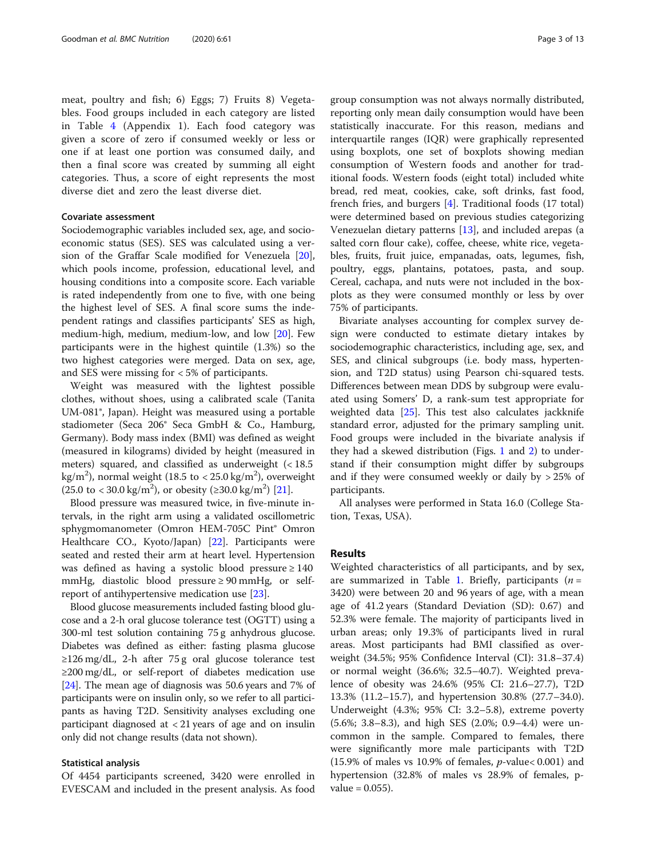meat, poultry and fish; 6) Eggs; 7) Fruits 8) Vegetables. Food groups included in each category are listed in Table [4](#page-10-0) (Appendix 1). Each food category was given a score of zero if consumed weekly or less or one if at least one portion was consumed daily, and then a final score was created by summing all eight categories. Thus, a score of eight represents the most diverse diet and zero the least diverse diet.

# Covariate assessment

Sociodemographic variables included sex, age, and socioeconomic status (SES). SES was calculated using a version of the Graffar Scale modified for Venezuela [\[20](#page-11-0)], which pools income, profession, educational level, and housing conditions into a composite score. Each variable is rated independently from one to five, with one being the highest level of SES. A final score sums the independent ratings and classifies participants' SES as high, medium-high, medium, medium-low, and low [\[20](#page-11-0)]. Few participants were in the highest quintile (1.3%) so the two highest categories were merged. Data on sex, age, and SES were missing for < 5% of participants.

Weight was measured with the lightest possible clothes, without shoes, using a calibrated scale (Tanita UM-081®, Japan). Height was measured using a portable stadiometer (Seca 206® Seca GmbH & Co., Hamburg, Germany). Body mass index (BMI) was defined as weight (measured in kilograms) divided by height (measured in meters) squared, and classified as underweight (< 18.5 kg/m $^2$ ), normal weight (18.5 to < 25.0 kg/m $^2$ ), overweight  $(25.0 \text{ to } < 30.0 \text{ kg/m}^2)$ , or obesity  $(\geq 30.0 \text{ kg/m}^2)$  [\[21](#page-11-0)].

Blood pressure was measured twice, in five-minute intervals, in the right arm using a validated oscillometric sphygmomanometer (Omron HEM-705C Pint® Omron Healthcare CO., Kyoto/Japan) [\[22](#page-11-0)]. Participants were seated and rested their arm at heart level. Hypertension was defined as having a systolic blood pressure  $\geq 140$ mmHg, diastolic blood pressure  $\geq 90$  mmHg, or selfreport of antihypertensive medication use [\[23](#page-11-0)].

Blood glucose measurements included fasting blood glucose and a 2-h oral glucose tolerance test (OGTT) using a 300-ml test solution containing 75 g anhydrous glucose. Diabetes was defined as either: fasting plasma glucose  $\geq$ 126 mg/dL, 2-h after 75 g oral glucose tolerance test ≥200 mg/dL, or self-report of diabetes medication use [[24](#page-11-0)]. The mean age of diagnosis was 50.6 years and 7% of participants were on insulin only, so we refer to all participants as having T2D. Sensitivity analyses excluding one participant diagnosed at < 21 years of age and on insulin only did not change results (data not shown).

## Statistical analysis

Of 4454 participants screened, 3420 were enrolled in EVESCAM and included in the present analysis. As food group consumption was not always normally distributed, reporting only mean daily consumption would have been statistically inaccurate. For this reason, medians and interquartile ranges (IQR) were graphically represented using boxplots, one set of boxplots showing median consumption of Western foods and another for traditional foods. Western foods (eight total) included white bread, red meat, cookies, cake, soft drinks, fast food, french fries, and burgers [[4](#page-11-0)]. Traditional foods (17 total) were determined based on previous studies categorizing Venezuelan dietary patterns [\[13](#page-11-0)], and included arepas (a salted corn flour cake), coffee, cheese, white rice, vegetables, fruits, fruit juice, empanadas, oats, legumes, fish, poultry, eggs, plantains, potatoes, pasta, and soup. Cereal, cachapa, and nuts were not included in the boxplots as they were consumed monthly or less by over 75% of participants.

Bivariate analyses accounting for complex survey design were conducted to estimate dietary intakes by sociodemographic characteristics, including age, sex, and SES, and clinical subgroups (i.e. body mass, hypertension, and T2D status) using Pearson chi-squared tests. Differences between mean DDS by subgroup were evaluated using Somers' D, a rank-sum test appropriate for weighted data [\[25](#page-11-0)]. This test also calculates jackknife standard error, adjusted for the primary sampling unit. Food groups were included in the bivariate analysis if they had a skewed distribution (Figs. [1](#page-3-0) and [2\)](#page-3-0) to understand if their consumption might differ by subgroups and if they were consumed weekly or daily by > 25% of participants.

All analyses were performed in Stata 16.0 (College Station, Texas, USA).

# Results

Weighted characteristics of all participants, and by sex, are summarized in Table [1](#page-4-0). Briefly, participants  $(n =$ 3420) were between 20 and 96 years of age, with a mean age of 41.2 years (Standard Deviation (SD): 0.67) and 52.3% were female. The majority of participants lived in urban areas; only 19.3% of participants lived in rural areas. Most participants had BMI classified as overweight (34.5%; 95% Confidence Interval (CI): 31.8–37.4) or normal weight (36.6%; 32.5–40.7). Weighted prevalence of obesity was 24.6% (95% CI: 21.6–27.7), T2D 13.3% (11.2–15.7), and hypertension 30.8% (27.7–34.0). Underweight (4.3%; 95% CI: 3.2–5.8), extreme poverty (5.6%; 3.8–8.3), and high SES (2.0%; 0.9–4.4) were uncommon in the sample. Compared to females, there were significantly more male participants with T2D (15.9% of males vs 10.9% of females,  $p$ -value< 0.001) and hypertension (32.8% of males vs 28.9% of females, p $value = 0.055$ ).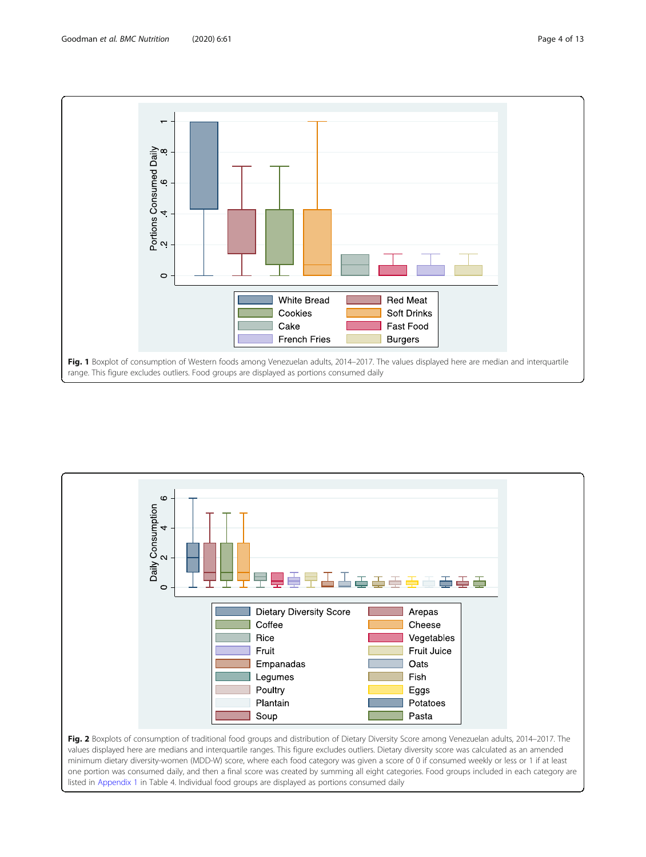<span id="page-3-0"></span>



values displayed here are medians and interquartile ranges. This figure excludes outliers. Dietary diversity score was calculated as an amended minimum dietary diversity-women (MDD-W) score, where each food category was given a score of 0 if consumed weekly or less or 1 if at least one portion was consumed daily, and then a final score was created by summing all eight categories. Food groups included in each category are listed in [Appendix 1](#page-10-0) in Table 4. Individual food groups are displayed as portions consumed daily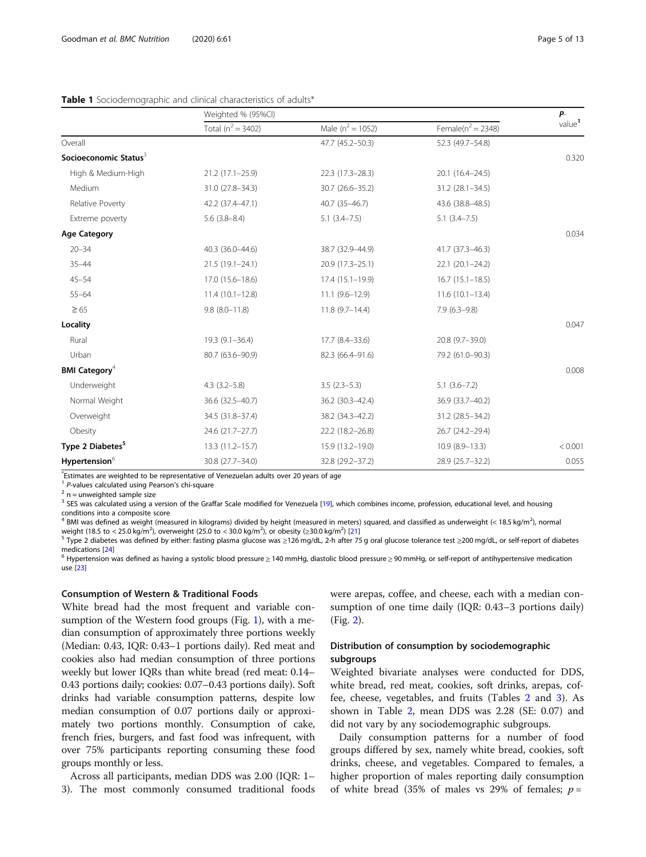# <span id="page-4-0"></span>Table 1 Sociodemographic and clinical characteristics of adults\*

|                                   | Weighted % (95%Cl)    |                     |                       | $P-$               |
|-----------------------------------|-----------------------|---------------------|-----------------------|--------------------|
|                                   | Total ( $n^2$ = 3402) | Male $(n^2 = 1052)$ | Female( $n^2$ = 2348) | value <sup>1</sup> |
| Overall                           |                       | 47.7 (45.2-50.3)    | 52.3 (49.7-54.8)      |                    |
| Socioeconomic Status <sup>3</sup> |                       |                     |                       | 0.320              |
| High & Medium-High                | $21.2(17.1-25.9)$     | 22.3 (17.3-28.3)    | 20.1 (16.4-24.5)      |                    |
| Medium                            | 31.0 (27.8-34.3)      | 30.7 (26.6-35.2)    | $31.2 (28.1 - 34.5)$  |                    |
| Relative Poverty                  | 42.2 (37.4-47.1)      | 40.7 (35-46.7)      | 43.6 (38.8-48.5)      |                    |
| Extreme poverty                   | $5.6$ $(3.8-8.4)$     | $5.1(3.4 - 7.5)$    | $5.1(3.4 - 7.5)$      |                    |
| <b>Age Category</b>               |                       |                     |                       | 0.034              |
| $20 - 34$                         | 40.3 (36.0-44.6)      | 38.7 (32.9-44.9)    | 41.7 (37.3-46.3)      |                    |
| $35 - 44$                         | 21.5 (19.1-24.1)      | 20.9 (17.3-25.1)    | $22.1 (20.1 - 24.2)$  |                    |
| $45 - 54$                         | 17.0 (15.6-18.6)      | $17.4(15.1-19.9)$   | $16.7(15.1 - 18.5)$   |                    |
| $55 - 64$                         | $11.4(10.1-12.8)$     | $11.1(9.6 - 12.9)$  | $11.6(10.1-13.4)$     |                    |
| $\geq 65$                         | $9.8$ (8.0-11.8)      | $11.8(9.7-14.4)$    | $7.9(6.3-9.8)$        |                    |
| Locality                          |                       |                     |                       | 0.047              |
| Rural                             | $19.3(9.1 - 36.4)$    | $17.7(8.4-33.6)$    | 20.8 (9.7-39.0)       |                    |
| Urban                             | 80.7 (63.6-90.9)      | 82.3 (66.4-91.6)    | 79.2 (61.0-90.3)      |                    |
| <b>BMI Category</b> <sup>4</sup>  |                       |                     |                       | 0.008              |
| Underweight                       | $4.3$ $(3.2 - 5.8)$   | $3.5(2.3-5.3)$      | $5.1(3.6 - 7.2)$      |                    |
| Normal Weight                     | 36.6 (32.5-40.7)      | 36.2 (30.3-42.4)    | 36.9 (33.7-40.2)      |                    |
| Overweight                        | 34.5 (31.8-37.4)      | 38.2 (34.3-42.2)    | 31.2 (28.5-34.2)      |                    |
| Obesity                           | 24.6 (21.7-27.7)      | 22.2 (18.2-26.8)    | 26.7 (24.2-29.4)      |                    |
| Type 2 Diabetes <sup>5</sup>      | 13.3 (11.2-15.7)      | 15.9 (13.2-19.0)    | $10.9(8.9-13.3)$      | < 0.001            |
| Hypertension <sup>6</sup>         | 30.8 (27.7-34.0)      | 32.8 (29.2-37.2)    | 28.9 (25.7-32.2)      | 0.055              |

s are weighted to be representative of Venezuelan adults over 20 years of age

<sup>1</sup> P-values calculated using Pearson's chi-square  $2$  n = unweighted sample size

<sup>3</sup> SES was calculated using a version of the Graffar Scale modified for Venezuela [\[19](#page-11-0)], which combines income, profession, educational level, and housing conditions into a composite score

 $^4$  BMI was defined as weight (measured in kilograms) divided by height (measured in meters) squared, and classified as underweight (< 18.5 kg/m<sup>2</sup>), normal weight (18.5 to < 25.0 kg/m<sup>2</sup>), overweight (25.0 to < 30.0 kg/m<sup>2</sup>), or obesity (≥30.0 kg/m<sup>2</sup>

<sup>5</sup> Type 2 diabetes was defined by either: fasting plasma glucose was ≥126 mg/dL, 2-h after 75 g oral glucose tolerance test ≥200 mg/dL, or self-report of diabetes medications [\[24\]](#page-11-0)<br><sup>6</sup> Hypertension was defined as having a systolic blood pressure ≥ 140 mmHg, diastolic blood pressure ≥ 90 mmHg, or self-report of antihypertensive medication

use [[23](#page-11-0)]

## Consumption of Western & Traditional Foods

White bread had the most frequent and variable consumption of the Western food groups (Fig. [1](#page-3-0)), with a median consumption of approximately three portions weekly (Median: 0.43, IQR: 0.43–1 portions daily). Red meat and cookies also had median consumption of three portions weekly but lower IQRs than white bread (red meat: 0.14– 0.43 portions daily; cookies: 0.07–0.43 portions daily). Soft drinks had variable consumption patterns, despite low median consumption of 0.07 portions daily or approximately two portions monthly. Consumption of cake, french fries, burgers, and fast food was infrequent, with over 75% participants reporting consuming these food groups monthly or less.

Across all participants, median DDS was 2.00 (IQR: 1– 3). The most commonly consumed traditional foods were arepas, coffee, and cheese, each with a median consumption of one time daily (IQR: 0.43–3 portions daily) (Fig. [2](#page-3-0)).

# Distribution of consumption by sociodemographic subgroups

Weighted bivariate analyses were conducted for DDS, white bread, red meat, cookies, soft drinks, arepas, coffee, cheese, vegetables, and fruits (Tables [2](#page-5-0) and [3](#page-7-0)). As shown in Table [2,](#page-5-0) mean DDS was 2.28 (SE: 0.07) and did not vary by any sociodemographic subgroups.

Daily consumption patterns for a number of food groups differed by sex, namely white bread, cookies, soft drinks, cheese, and vegetables. Compared to females, a higher proportion of males reporting daily consumption of white bread (35% of males vs 29% of females;  $p =$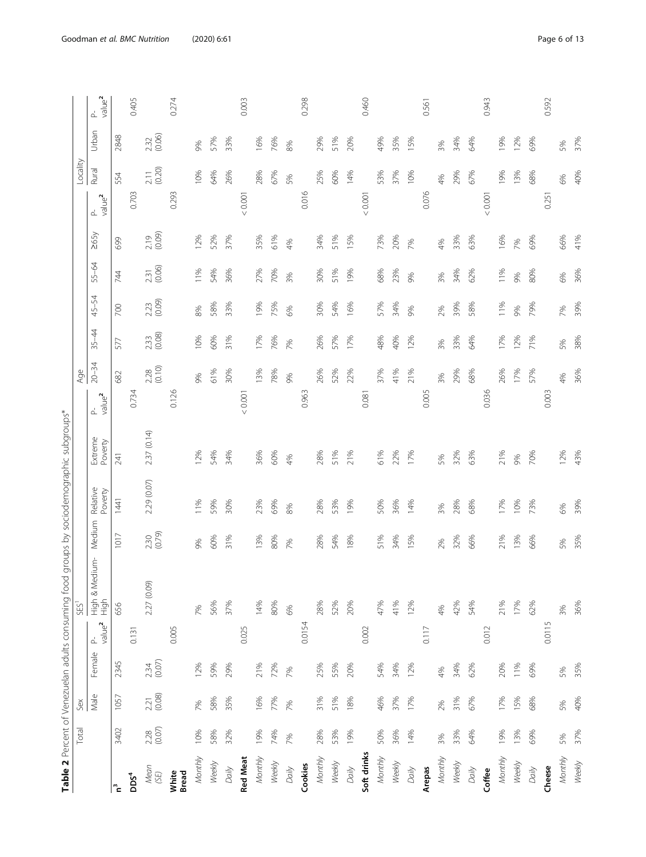| ł<br>$\mathbf{I}$<br>J                                                                                           |
|------------------------------------------------------------------------------------------------------------------|
| ١<br>l<br>ÿ<br>ī<br>$\overline{ }$                                                                               |
| Ò<br>j<br>İ<br>i<br>j<br>$\overline{)}$<br>Ċ                                                                     |
| į<br>ī<br>j<br>1<br>j<br>ī<br>$\overline{\mathbf{r}}$<br>ł                                                       |
| ŕ<br>)<br>$\ddot{\phantom{a}}$<br>١<br>Ö<br>١                                                                    |
| ś<br>j<br>ĵ<br>$\overline{)}$<br>ł<br>j<br>١                                                                     |
| ņ<br>í<br>i<br>$\overline{a}$<br>ř<br>j<br>ł<br>Ï                                                                |
| ì<br>i<br>Ś<br>ī<br>j<br>j<br>I                                                                                  |
| 3<br>$\overline{\phantom{a}}$<br>$\overline{\phantom{a}}$<br>٢<br>i<br>į<br>¢<br>í<br>j<br>j<br>ī<br>ļ<br>j<br>l |
| i<br>١<br>ļ<br>i<br>V<br>Ó<br>Ò<br>ł<br>a<br>P<br>Q                                                              |
| able 2<br>4<br>I                                                                                                 |
|                                                                                                                  |

<span id="page-5-0"></span>

|                  | Total            | Sex              |                  |                                | SES <sup>1</sup>       |                |                     |                    | Age                      |                  |                |         |                  |                    |                                             | Locality         |                |                          |
|------------------|------------------|------------------|------------------|--------------------------------|------------------------|----------------|---------------------|--------------------|--------------------------|------------------|----------------|---------|------------------|--------------------|---------------------------------------------|------------------|----------------|--------------------------|
|                  |                  | Male             | Female           | value <sup>2</sup><br>$\Delta$ | High & Medium-<br>High | Medium         | Relative<br>Poverty | Extreme<br>Poverty | P-<br>value <sup>2</sup> | $20 - 34$        | $35 - 44$      | 45-54   | 55-64            | 265y               | value <sup>2</sup><br>$\Delta^{\!\!\!~l}_-$ | Rural            | Urban          | P-<br>value <sup>2</sup> |
|                  | 3402             | 1057             | 2345             |                                | 656                    | 1017           | 1441                | 241                | 682                      |                  | 577            | $700\,$ | 744              | 699                |                                             | 554              | 2848           |                          |
| pos <sup>4</sup> |                  |                  |                  | 0.131                          |                        |                |                     |                    | 0.734                    |                  |                |         |                  |                    | 0.703                                       |                  |                | 0.405                    |
| Mean<br>(SE)     | $2.28$<br>(0.07) | $2.21$<br>(0.08) | $2.34$<br>(0.07) |                                | 2.27 (0.09)            | 2.30<br>(0.79) | 2.29 (0.07)         | 2.37 (0.14)        |                          | $2.28$<br>(0.10) | 2.33<br>(0.08) | 2.23    | $2.31$<br>(0.06) | $2.19$<br>$(0.09)$ |                                             | $2.11$<br>(0.20) | 2.32<br>(0.06) |                          |
| White<br>Bread   |                  |                  |                  | 0.005                          |                        |                |                     |                    | 0.126                    |                  |                |         |                  |                    | 0.293                                       |                  |                | 0.274                    |
| Monthly          | 10%              | 7%               | 12%              |                                | 7%                     | 9%             | 11%                 | 12%                | 9%                       |                  | 10%            | 8%      | 11%              | 12%                |                                             | 10%              | 9%             |                          |
| Weekly           | 58%              | 58%              | 59%              |                                | 56%                    | 60%            | 59%                 | 54%                | 61%                      |                  | 60%            | 58%     | 54%              | 52%                |                                             | 64%              | 57%            |                          |
| Daily            | 32%              | 35%              | 29%              |                                | 37%                    | 31%            | 30%                 | 34%                | 30%                      |                  | 31%            | 33%     | 36%              | 37%                |                                             | 26%              | 33%            |                          |
| <b>Red Meat</b>  |                  |                  |                  | 0.025                          |                        |                |                     |                    | 0.001                    |                  |                |         |                  |                    | 0.001                                       |                  |                | 0.003                    |
| Monthly          | 19%              | 16%              | 21%              |                                | 14%                    | 13%            | 23%                 | 36%                |                          | 13%              | 17%            | 19%     | 27%              | 35%                |                                             | 28%              | 16%            |                          |
| Weekly           | 74%              | 77%              | 72%              |                                | 80%                    | 80%            | 69%                 | 60%                | 78%                      |                  | 76%            | 75%     | 70%              | 61%                |                                             | 67%              | 76%            |                          |
| Daily            | 7%               | 7%               | 7%               |                                | 6%                     | 7%             | 8%                  | 4%                 | 9%                       |                  | 7%             | 6%      | 3%               | 4%                 |                                             | 5%               | 8%             |                          |
| Cookies          |                  |                  |                  | 0.0154                         |                        |                |                     |                    | 0.963                    |                  |                |         |                  |                    | 0.016                                       |                  |                | 0.298                    |
| Monthly          | 28%              | 31%              | 25%              |                                | 28%                    | 28%            | 28%                 | 28%                | 26%                      |                  | 26%            | 30%     | 30%              | 34%                |                                             | 25%              | 29%            |                          |
| Weekly           | 53%              | 51%              | 55%              |                                | 52%                    | 54%            | 53%                 | 51%                | 52%                      |                  | 57%            | 54%     | 51%              | 51%                |                                             | 60%              | 51%            |                          |
| Daily            | 19%              | 18%              | 20%              |                                | 20%                    | 18%            | 19%                 | 21%                | 22%                      |                  | 17%            | 16%     | 19%              | 15%                |                                             | 14%              | 20%            |                          |
| Soft drinks      |                  |                  |                  | 0.002                          |                        |                |                     |                    | 0.081                    |                  |                |         |                  |                    | 0.001                                       |                  |                | 0.460                    |
| Monthly          | 50%              | 46%              | 54%              |                                | 47%                    | 51%            | 50%                 | 61%                | 37%                      |                  | 48%            | 57%     | 68%              | 73%                |                                             | 53%              | 49%            |                          |
| Weekly           | 36%              | 37%              | 34%              |                                | 41%                    | 34%            | 36%                 | 22%                | 41%                      |                  | 40%            | 34%     | 23%              | 20%                |                                             | 37%              | 35%            |                          |
| Daily            | 14%              | 17%              | 12%              |                                | 12%                    | 15%            | 14%                 | 17%                | 21%                      |                  | 12%            | 9%      | 9%               | 7%                 |                                             | 10%              | 15%            |                          |
| Arepas           |                  |                  |                  | 0.117                          |                        |                |                     |                    | 0.005                    |                  |                |         |                  |                    | 0.076                                       |                  |                | 0.561                    |
| Monthly          | 3%               | 2%               | 4%               |                                | 4%                     | 2%             | 3%                  | 5%                 | 3%                       |                  | 3%             | 2%      | 3%               | 4%                 |                                             | 4%               | 3%             |                          |
| Weekly           | 33%              | 31%              | 34%              |                                | 42%                    | 32%            | 28%                 | 32%                | 29%                      |                  | 33%            | 39%     | 34%              | 33%                |                                             | 29%              | 34%            |                          |
| Daily            | 64%              | 67%              | 62%              |                                | 54%                    | 66%            | 68%                 | 63%                | 68%                      |                  | 64%            | 58%     | 62%              | 63%                |                                             | 67%              | 64%            |                          |
| Coffee           |                  |                  |                  | 0.012                          |                        |                |                     |                    | 0.036                    |                  |                |         |                  |                    | 0.001                                       |                  |                | 0.943                    |
| Monthly          | 19%              | 17%              | 20%              |                                | 21%                    | 21%            | 17%                 | 21%                |                          | 26%              | 17%            | 11%     | 11%              | 16%                |                                             | 19%              | 19%            |                          |
| Weekly           | 13%              | 15%              | 11%              |                                | 17%                    | 13%            | 10%                 | 9%                 | 17%                      |                  | 12%            | 9%      | 9%               | 7%                 |                                             | 13%              | 12%            |                          |
| Daily            | 69%              | 68%              | 69%              |                                | 62%                    | 66%            | 73%                 | 70%                | 57%                      |                  | 71%            | 79%     | 80%              | 69%                |                                             | 68%              | 69%            |                          |
| Cheese           |                  |                  |                  | 0.0115                         |                        |                |                     |                    | 0.003                    |                  |                |         |                  |                    | 0.251                                       |                  |                | 0.592                    |
| Monthly          | 5%               | 5%               | 5%               |                                | 3%                     | 5%             | 6%                  | 12%                | 4%                       |                  | 5%             | 7%      | 6%               | 66%                |                                             | 6%               | 5%             |                          |
| Weekly           | 37%              | 40%              | 35%              |                                | 36%                    | 35%            | 39%                 | 43%                | 36%                      |                  | 38%            | 39%     | 36%              | 41%                |                                             | 40%              | 37%            |                          |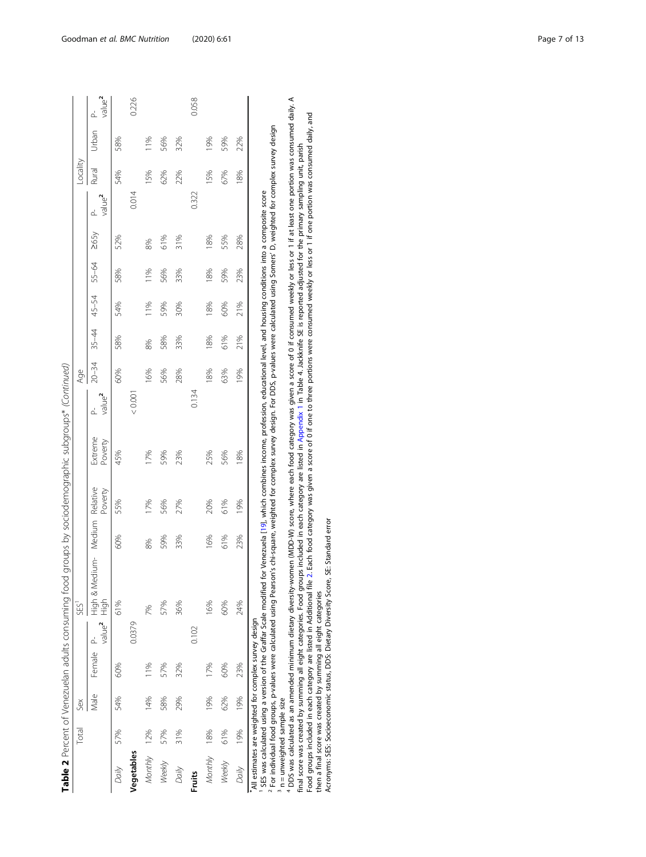|                                                                                      |              |      |           |                         | Table 2 Percent of Venezuelan adults consuming food groups by sociodemographic subgroups* (Continued) |     |         |                    |                          |           |                         |     |     |      |                                |          |       |                                     |
|--------------------------------------------------------------------------------------|--------------|------|-----------|-------------------------|-------------------------------------------------------------------------------------------------------|-----|---------|--------------------|--------------------------|-----------|-------------------------|-----|-----|------|--------------------------------|----------|-------|-------------------------------------|
|                                                                                      | <b>Total</b> | Sex  |           |                         | SES <sup>1</sup>                                                                                      |     |         |                    |                          | Age       |                         |     |     |      |                                | Locality |       |                                     |
|                                                                                      |              | Male | Female P- | value <sup>2</sup> High | High & Medium- Medium Relative                                                                        |     | Poverty | Extreme<br>Poverty | P-<br>value <sup>2</sup> | $20 - 34$ | $35-44$ $45-54$ $55-64$ |     |     | 265y | value <sup>2</sup><br><u>d</u> | Rural    | Urban | value <sup>2</sup><br>$\frac{1}{2}$ |
| Daily                                                                                | 57%          | 54%  | 60%       |                         | 61%                                                                                                   | 60% | 55%     | 45%                |                          | 60%       | 58%                     | 54% | 58% | 52%  |                                | 54%      | 58%   |                                     |
| Vegetables                                                                           |              |      |           | 0.0379                  |                                                                                                       |     |         |                    | 0.001                    |           |                         |     |     |      | 0.014                          |          |       | 0.226                               |
| Monthly 12%                                                                          |              | 14%  | 11%       |                         | 7%                                                                                                    | 8%  | 17%     | 17%                |                          | 16%       | 8%                      | 11% | 11% | 8%   |                                | 15%      | 11%   |                                     |
| Weekly                                                                               | 57%          | 58%  | 57%       |                         | 57%                                                                                                   | 59% | 56%     | 59%                |                          | 56%       | 58%                     | 59% | 56% | 61%  |                                | 62%      | 56%   |                                     |
| Daily                                                                                | 31%          | 29%  | 32%       |                         | 36%                                                                                                   | 33% | 27%     | 23%                |                          | 28%       | 33%                     | 30% | 33% | 31%  |                                | 22%      | 32%   |                                     |
| <b>Fruits</b>                                                                        |              |      |           | 0.102                   |                                                                                                       |     |         |                    | 0.134                    |           |                         |     |     |      | 0.322                          |          |       | 0.058                               |
| Monthly 18%                                                                          |              | 19%  | 17%       |                         | 16%                                                                                                   | 16% | 20%     | 25%                |                          | 18%       | 18%                     | 18% | 18% | 18%  |                                | 15%      | 19%   |                                     |
| Weekly                                                                               | 61%          | 62%  | 60%       |                         | 60%                                                                                                   | 61% | 61%     | 56%                |                          | 63%       | 61%                     | 60% | 59% | 55%  |                                | 67%      | 59%   |                                     |
| Daily                                                                                | 19%          | 19%  | 23%       |                         | 24%                                                                                                   | 23% | 19%     | 18%                |                          | 19%       | 21%                     | 21% | 23% | 28%  |                                | 18%      | 22%   |                                     |
| All action and also included to a complete the model of the contract of $\mathbf{A}$ |              |      |           |                         |                                                                                                       |     |         |                    |                          |           |                         |     |     |      |                                |          |       |                                     |

\*All estimates are weighted for complex survey design - 0

SES was calculated using a version of the Graffar Scale modified for Venezuela [\[19](#page-11-0)], which combines income, profession, educational level, and housing conditions into a composite score

 For individual food groups, p-values were calculated using Pearson's chi-square, weighted for complex survey design. For DDS, p-values were calculated using Somers' D, weighted for complex survey design m 4 n = unweighted sample size

 DDS was calculated as an amended minimum dietary diversity-women (MDD-W) score, where each food category was given a score of 0 if consumed weekly or less or 1 if at least one portion was consumed daily. A final score was created by summing all eight categories. Food groups included in each category are listed in [Appendix](#page-10-0) 1 in Table 4. Jackknife SE is reported adjusted for the primary sampling unit, parish Food groups included in each category are listed in Additional file [2](#page-10-0). Each food category was given a score of 0 if one to three portions were consumed weekly or less or 1 if one portion was consumed daily, and then a final score was created by summing all eight categories

Acronyms: SES: Socioeconomic status, DDS: Dietary Diversity Score, SE: Standard error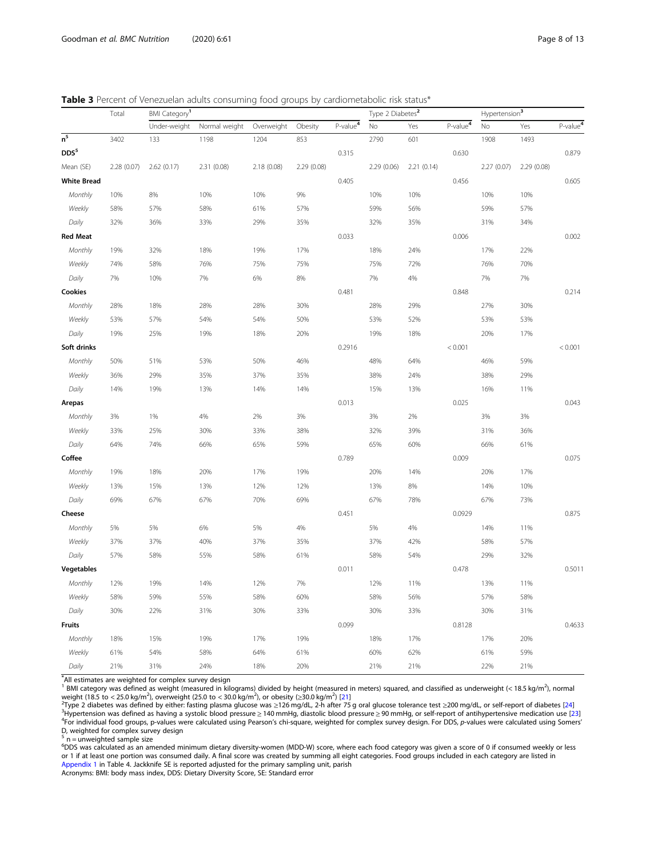<span id="page-7-0"></span>Table 3 Percent of Venezuelan adults consuming food groups by cardiometabolic risk status\*

|                    | Total       | <b>BMI</b> Category <sup>1</sup> |               |             |             |            | Type 2 Diabetes <sup>2</sup> |            |            | Hypertension <sup>3</sup> |             |                      |
|--------------------|-------------|----------------------------------|---------------|-------------|-------------|------------|------------------------------|------------|------------|---------------------------|-------------|----------------------|
|                    |             | Under-weight                     | Normal weight | Overweight  | Obesity     | $P-value4$ | No                           | Yes        | $P-value4$ | No                        | Yes         | P-value <sup>4</sup> |
| $\overline{n^5}$   | 3402        | 133                              | 1198          | 1204        | 853         |            | 2790                         | 601        |            | 1908                      | 1493        |                      |
| DDS5               |             |                                  |               |             |             | 0.315      |                              |            | 0.630      |                           |             | 0.879                |
| Mean (SE)          | 2.28 (0.07) | 2.62(0.17)                       | 2.31 (0.08)   | 2.18 (0.08) | 2.29 (0.08) |            | 2.29 (0.06)                  | 2.21(0.14) |            | 2.27 (0.07)               | 2.29 (0.08) |                      |
| <b>White Bread</b> |             |                                  |               |             |             | 0.405      |                              |            | 0.456      |                           |             | 0.605                |
| Monthly            | 10%         | 8%                               | 10%           | 10%         | 9%          |            | 10%                          | 10%        |            | 10%                       | 10%         |                      |
| Weekly             | 58%         | 57%                              | 58%           | 61%         | 57%         |            | 59%                          | 56%        |            | 59%                       | 57%         |                      |
| Daily              | 32%         | 36%                              | 33%           | 29%         | 35%         |            | 32%                          | 35%        |            | 31%                       | 34%         |                      |
| <b>Red Meat</b>    |             |                                  |               |             |             | 0.033      |                              |            | 0.006      |                           |             | 0.002                |
| Monthly            | 19%         | 32%                              | 18%           | 19%         | 17%         |            | 18%                          | 24%        |            | 17%                       | 22%         |                      |
| Weekly             | 74%         | 58%                              | 76%           | 75%         | 75%         |            | 75%                          | 72%        |            | 76%                       | 70%         |                      |
| Daily              | 7%          | 10%                              | 7%            | 6%          | 8%          |            | 7%                           | 4%         |            | 7%                        | 7%          |                      |
| Cookies            |             |                                  |               |             |             | 0.481      |                              |            | 0.848      |                           |             | 0.214                |
| Monthly            | 28%         | 18%                              | 28%           | 28%         | 30%         |            | 28%                          | 29%        |            | 27%                       | 30%         |                      |
| Weekly             | 53%         | 57%                              | 54%           | 54%         | 50%         |            | 53%                          | 52%        |            | 53%                       | 53%         |                      |
| Daily              | 19%         | 25%                              | 19%           | 18%         | 20%         |            | 19%                          | 18%        |            | 20%                       | 17%         |                      |
| Soft drinks        |             |                                  |               |             |             | 0.2916     |                              |            | < 0.001    |                           |             | < 0.001              |
| Monthly            | 50%         | 51%                              | 53%           | 50%         | 46%         |            | 48%                          | 64%        |            | 46%                       | 59%         |                      |
| Weekly             | 36%         | 29%                              | 35%           | 37%         | 35%         |            | 38%                          | 24%        |            | 38%                       | 29%         |                      |
| Daily              | 14%         | 19%                              | 13%           | 14%         | 14%         |            | 15%                          | 13%        |            | 16%                       | 11%         |                      |
| Arepas             |             |                                  |               |             |             | 0.013      |                              |            | 0.025      |                           |             | 0.043                |
| Monthly            | $3\%$       | 1%                               | 4%            | 2%          | 3%          |            | 3%                           | 2%         |            | 3%                        | 3%          |                      |
| Weekly             | 33%         | 25%                              | 30%           | 33%         | 38%         |            | 32%                          | 39%        |            | 31%                       | 36%         |                      |
| Daily              | 64%         | 74%                              | 66%           | 65%         | 59%         |            | 65%                          | 60%        |            | 66%                       | 61%         |                      |
| Coffee             |             |                                  |               |             |             | 0.789      |                              |            | 0.009      |                           |             | 0.075                |
| Monthly            | 19%         | 18%                              | 20%           | 17%         | 19%         |            | 20%                          | 14%        |            | 20%                       | 17%         |                      |
| Weekly             | 13%         | 15%                              | 13%           | 12%         | 12%         |            | 13%                          | 8%         |            | 14%                       | 10%         |                      |
| Daily              | 69%         | 67%                              | 67%           | 70%         | 69%         |            | 67%                          | 78%        |            | 67%                       | 73%         |                      |
| Cheese             |             |                                  |               |             |             | 0.451      |                              |            | 0.0929     |                           |             | 0.875                |
| Monthly            | 5%          | 5%                               | 6%            | 5%          | 4%          |            | 5%                           | $4\%$      |            | 14%                       | 11%         |                      |
| Weekly             | 37%         | 37%                              | 40%           | 37%         | 35%         |            | 37%                          | 42%        |            | 58%                       | 57%         |                      |
| Daily              | 57%         | 58%                              | 55%           | 58%         | 61%         |            | 58%                          | 54%        |            | 29%                       | 32%         |                      |
| <b>Vegetables</b>  |             |                                  |               |             |             | 0.011      |                              |            | 0.478      |                           |             | 0.5011               |
| Monthly            | 12%         | 19%                              | 14%           | 12%         | $7\%$       |            | 12%                          | 11%        |            | 13%                       | 11%         |                      |
| Weekly             | 58%         | 59%                              | 55%           | 58%         | 60%         |            | 58%                          | 56%        |            | 57%                       | 58%         |                      |
| Daily              | 30%         | 22%                              | 31%           | 30%         | 33%         |            | 30%                          | 33%        |            | 30%                       | 31%         |                      |
| Fruits             |             |                                  |               |             |             | 0.099      |                              |            | 0.8128     |                           |             | 0.4633               |
| Monthly            | 18%         | 15%                              | 19%           | 17%         | 19%         |            | 18%                          | 17%        |            | 17%                       | 20%         |                      |
| Weekly             | 61%         | 54%                              | 58%           | 64%         | 61%         |            | 60%                          | 62%        |            | 61%                       | 59%         |                      |
| Daily              | 21%         | 31%                              | 24%           | 18%         | 20%         |            | 21%                          | 21%        |            | 22%                       | 21%         |                      |

\* All estimates are weighted for complex survey design

 $^1$  BMI category was defined as weight (measured in kilograms) divided by height (measured in meters) squared, and classified as underweight (< 18.5 kg/m<sup>2</sup>), normal

weight (18.5 to < 25.0 kg/m<sup>2</sup>), overweight (25.0 to < 30.0 kg/m<sup>2</sup>), or obesity (≥30.0 kg/m<sup>2</sup>) [[21\]](#page-11-0)<br><sup>2</sup>Type 2 diabetes was defined by either: fasting plasma glucose was ≥126 mg/dL, 2-h after 75 g oral glucose tolerance <sup>3</sup>Hypertension was defined as having a systolic blood pressure≥140 mmHg, diastolic blood pressure≥90 mmHg, or self-report of antihypertensive medication use [[23\]](#page-11-0)<br><sup>4</sup>For individual food groups, p-values were calculated us D, weighted for complex survey design

 $\frac{5}{1}$  n = unweighted sample size

<sup>6</sup>DDS was calculated as an amended minimum dietary diversity-women (MDD-W) score, where each food category was given a score of 0 if consumed weekly or less or 1 if at least one portion was consumed daily. A final score was created by summing all eight categories. Food groups included in each category are listed in [Appendix 1](#page-10-0) in Table 4. Jackknife SE is reported adjusted for the primary sampling unit, parish

Acronyms: BMI: body mass index, DDS: Dietary Diversity Score, SE: Standard error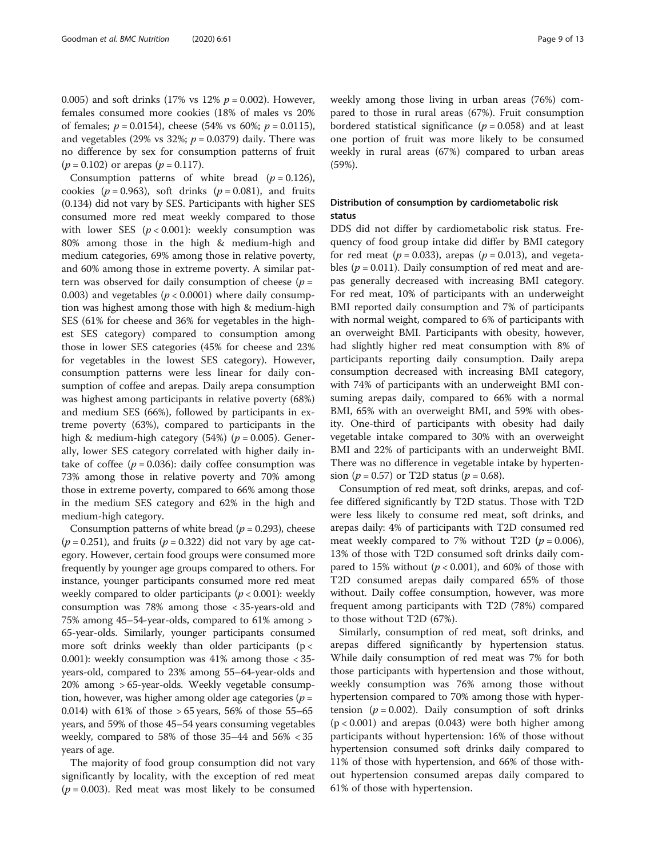0.005) and soft drinks (17% vs 12%  $p = 0.002$ ). However, females consumed more cookies (18% of males vs 20% of females;  $p = 0.0154$ ), cheese (54% vs 60%;  $p = 0.0115$ ), and vegetables (29% vs 32%;  $p = 0.0379$ ) daily. There was no difference by sex for consumption patterns of fruit  $(p = 0.102)$  or arepas  $(p = 0.117)$ .

Consumption patterns of white bread  $(p = 0.126)$ , cookies ( $p = 0.963$ ), soft drinks ( $p = 0.081$ ), and fruits (0.134) did not vary by SES. Participants with higher SES consumed more red meat weekly compared to those with lower SES  $(p < 0.001)$ : weekly consumption was 80% among those in the high & medium-high and medium categories, 69% among those in relative poverty, and 60% among those in extreme poverty. A similar pattern was observed for daily consumption of cheese  $(p =$ 0.003) and vegetables ( $p < 0.0001$ ) where daily consumption was highest among those with high & medium-high SES (61% for cheese and 36% for vegetables in the highest SES category) compared to consumption among those in lower SES categories (45% for cheese and 23% for vegetables in the lowest SES category). However, consumption patterns were less linear for daily consumption of coffee and arepas. Daily arepa consumption was highest among participants in relative poverty (68%) and medium SES (66%), followed by participants in extreme poverty (63%), compared to participants in the high & medium-high category (54%) ( $p = 0.005$ ). Generally, lower SES category correlated with higher daily intake of coffee ( $p = 0.036$ ): daily coffee consumption was 73% among those in relative poverty and 70% among those in extreme poverty, compared to 66% among those in the medium SES category and 62% in the high and medium-high category.

Consumption patterns of white bread ( $p = 0.293$ ), cheese  $(p = 0.251)$ , and fruits  $(p = 0.322)$  did not vary by age category. However, certain food groups were consumed more frequently by younger age groups compared to others. For instance, younger participants consumed more red meat weekly compared to older participants ( $p < 0.001$ ): weekly consumption was 78% among those < 35-years-old and 75% among 45–54-year-olds, compared to 61% among > 65-year-olds. Similarly, younger participants consumed more soft drinks weekly than older participants ( $p <$ 0.001): weekly consumption was 41% among those < 35 years-old, compared to 23% among 55–64-year-olds and 20% among > 65-year-olds. Weekly vegetable consumption, however, was higher among older age categories ( $p =$ 0.014) with 61% of those  $> 65$  years, 56% of those 55–65 years, and 59% of those 45–54 years consuming vegetables weekly, compared to 58% of those 35–44 and 56% < 35 years of age.

The majority of food group consumption did not vary significantly by locality, with the exception of red meat  $(p = 0.003)$ . Red meat was most likely to be consumed weekly among those living in urban areas (76%) compared to those in rural areas (67%). Fruit consumption bordered statistical significance ( $p = 0.058$ ) and at least one portion of fruit was more likely to be consumed weekly in rural areas (67%) compared to urban areas (59%).

# Distribution of consumption by cardiometabolic risk status

DDS did not differ by cardiometabolic risk status. Frequency of food group intake did differ by BMI category for red meat ( $p = 0.033$ ), arepas ( $p = 0.013$ ), and vegetables ( $p = 0.011$ ). Daily consumption of red meat and arepas generally decreased with increasing BMI category. For red meat, 10% of participants with an underweight BMI reported daily consumption and 7% of participants with normal weight, compared to 6% of participants with an overweight BMI. Participants with obesity, however, had slightly higher red meat consumption with 8% of participants reporting daily consumption. Daily arepa consumption decreased with increasing BMI category, with 74% of participants with an underweight BMI consuming arepas daily, compared to 66% with a normal BMI, 65% with an overweight BMI, and 59% with obesity. One-third of participants with obesity had daily vegetable intake compared to 30% with an overweight BMI and 22% of participants with an underweight BMI. There was no difference in vegetable intake by hypertension ( $p = 0.57$ ) or T2D status ( $p = 0.68$ ).

Consumption of red meat, soft drinks, arepas, and coffee differed significantly by T2D status. Those with T2D were less likely to consume red meat, soft drinks, and arepas daily: 4% of participants with T2D consumed red meat weekly compared to 7% without T2D ( $p = 0.006$ ), 13% of those with T2D consumed soft drinks daily compared to 15% without ( $p < 0.001$ ), and 60% of those with T2D consumed arepas daily compared 65% of those without. Daily coffee consumption, however, was more frequent among participants with T2D (78%) compared to those without T2D (67%).

Similarly, consumption of red meat, soft drinks, and arepas differed significantly by hypertension status. While daily consumption of red meat was 7% for both those participants with hypertension and those without, weekly consumption was 76% among those without hypertension compared to 70% among those with hypertension ( $p = 0.002$ ). Daily consumption of soft drinks  $(p < 0.001)$  and arepas  $(0.043)$  were both higher among participants without hypertension: 16% of those without hypertension consumed soft drinks daily compared to 11% of those with hypertension, and 66% of those without hypertension consumed arepas daily compared to 61% of those with hypertension.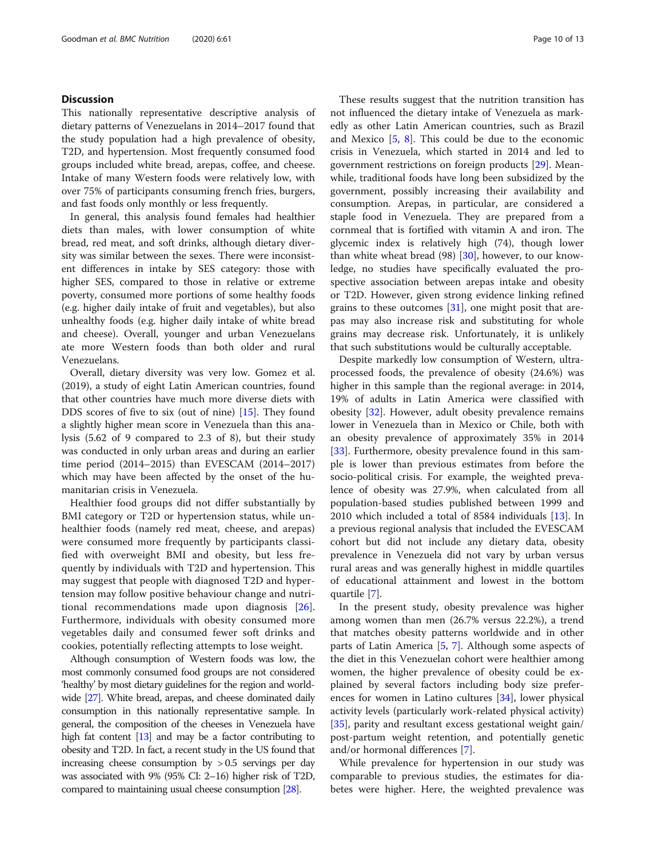# **Discussion**

This nationally representative descriptive analysis of dietary patterns of Venezuelans in 2014–2017 found that the study population had a high prevalence of obesity, T2D, and hypertension. Most frequently consumed food groups included white bread, arepas, coffee, and cheese. Intake of many Western foods were relatively low, with over 75% of participants consuming french fries, burgers, and fast foods only monthly or less frequently.

In general, this analysis found females had healthier diets than males, with lower consumption of white bread, red meat, and soft drinks, although dietary diversity was similar between the sexes. There were inconsistent differences in intake by SES category: those with higher SES, compared to those in relative or extreme poverty, consumed more portions of some healthy foods (e.g. higher daily intake of fruit and vegetables), but also unhealthy foods (e.g. higher daily intake of white bread and cheese). Overall, younger and urban Venezuelans ate more Western foods than both older and rural Venezuelans.

Overall, dietary diversity was very low. Gomez et al. (2019), a study of eight Latin American countries, found that other countries have much more diverse diets with DDS scores of five to six (out of nine) [[15\]](#page-11-0). They found a slightly higher mean score in Venezuela than this analysis (5.62 of 9 compared to 2.3 of 8), but their study was conducted in only urban areas and during an earlier time period (2014–2015) than EVESCAM (2014–2017) which may have been affected by the onset of the humanitarian crisis in Venezuela.

Healthier food groups did not differ substantially by BMI category or T2D or hypertension status, while unhealthier foods (namely red meat, cheese, and arepas) were consumed more frequently by participants classified with overweight BMI and obesity, but less frequently by individuals with T2D and hypertension. This may suggest that people with diagnosed T2D and hypertension may follow positive behaviour change and nutritional recommendations made upon diagnosis [\[26](#page-11-0)]. Furthermore, individuals with obesity consumed more vegetables daily and consumed fewer soft drinks and cookies, potentially reflecting attempts to lose weight.

Although consumption of Western foods was low, the most commonly consumed food groups are not considered 'healthy' by most dietary guidelines for the region and worldwide [\[27](#page-11-0)]. White bread, arepas, and cheese dominated daily consumption in this nationally representative sample. In general, the composition of the cheeses in Venezuela have high fat content [\[13](#page-11-0)] and may be a factor contributing to obesity and T2D. In fact, a recent study in the US found that increasing cheese consumption by  $> 0.5$  servings per day was associated with 9% (95% CI: 2–16) higher risk of T2D, compared to maintaining usual cheese consumption [[28](#page-11-0)].

These results suggest that the nutrition transition has not influenced the dietary intake of Venezuela as markedly as other Latin American countries, such as Brazil and Mexico [[5,](#page-11-0) [8\]](#page-11-0). This could be due to the economic crisis in Venezuela, which started in 2014 and led to government restrictions on foreign products [\[29](#page-11-0)]. Meanwhile, traditional foods have long been subsidized by the government, possibly increasing their availability and consumption. Arepas, in particular, are considered a staple food in Venezuela. They are prepared from a cornmeal that is fortified with vitamin A and iron. The glycemic index is relatively high (74), though lower than white wheat bread  $(98)$  [[30](#page-11-0)], however, to our knowledge, no studies have specifically evaluated the prospective association between arepas intake and obesity or T2D. However, given strong evidence linking refined grains to these outcomes  $[31]$  $[31]$ , one might posit that arepas may also increase risk and substituting for whole grains may decrease risk. Unfortunately, it is unlikely that such substitutions would be culturally acceptable.

Despite markedly low consumption of Western, ultraprocessed foods, the prevalence of obesity (24.6%) was higher in this sample than the regional average: in 2014, 19% of adults in Latin America were classified with obesity [\[32](#page-11-0)]. However, adult obesity prevalence remains lower in Venezuela than in Mexico or Chile, both with an obesity prevalence of approximately 35% in 2014 [[33\]](#page-11-0). Furthermore, obesity prevalence found in this sample is lower than previous estimates from before the socio-political crisis. For example, the weighted prevalence of obesity was 27.9%, when calculated from all population-based studies published between 1999 and 2010 which included a total of 8584 individuals [\[13\]](#page-11-0). In a previous regional analysis that included the EVESCAM cohort but did not include any dietary data, obesity prevalence in Venezuela did not vary by urban versus rural areas and was generally highest in middle quartiles of educational attainment and lowest in the bottom quartile [\[7](#page-11-0)].

In the present study, obesity prevalence was higher among women than men (26.7% versus 22.2%), a trend that matches obesity patterns worldwide and in other parts of Latin America [\[5](#page-11-0), [7\]](#page-11-0). Although some aspects of the diet in this Venezuelan cohort were healthier among women, the higher prevalence of obesity could be explained by several factors including body size preferences for women in Latino cultures [[34\]](#page-12-0), lower physical activity levels (particularly work-related physical activity) [[35\]](#page-12-0), parity and resultant excess gestational weight gain/ post-partum weight retention, and potentially genetic and/or hormonal differences [[7\]](#page-11-0).

While prevalence for hypertension in our study was comparable to previous studies, the estimates for diabetes were higher. Here, the weighted prevalence was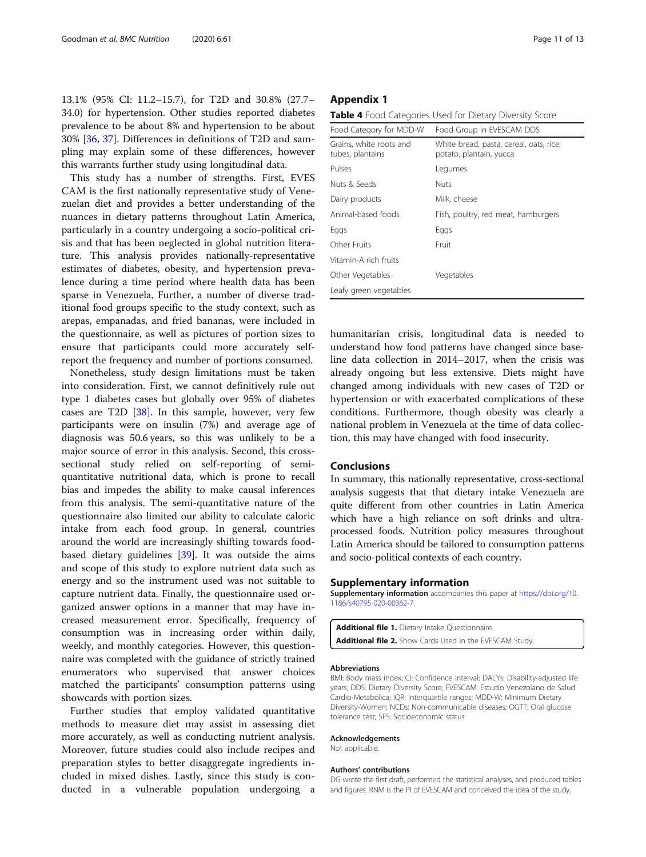<span id="page-10-0"></span>13.1% (95% CI: 11.2–15.7), for T2D and 30.8% (27.7– 34.0) for hypertension. Other studies reported diabetes prevalence to be about 8% and hypertension to be about 30% [[36,](#page-12-0) [37\]](#page-12-0). Differences in definitions of T2D and sampling may explain some of these differences, however this warrants further study using longitudinal data.

This study has a number of strengths. First, EVES CAM is the first nationally representative study of Venezuelan diet and provides a better understanding of the nuances in dietary patterns throughout Latin America, particularly in a country undergoing a socio-political crisis and that has been neglected in global nutrition literature. This analysis provides nationally-representative estimates of diabetes, obesity, and hypertension prevalence during a time period where health data has been sparse in Venezuela. Further, a number of diverse traditional food groups specific to the study context, such as arepas, empanadas, and fried bananas, were included in the questionnaire, as well as pictures of portion sizes to ensure that participants could more accurately selfreport the frequency and number of portions consumed.

Nonetheless, study design limitations must be taken into consideration. First, we cannot definitively rule out type 1 diabetes cases but globally over 95% of diabetes cases are T2D [[38\]](#page-12-0). In this sample, however, very few participants were on insulin (7%) and average age of diagnosis was 50.6 years, so this was unlikely to be a major source of error in this analysis. Second, this crosssectional study relied on self-reporting of semiquantitative nutritional data, which is prone to recall bias and impedes the ability to make causal inferences from this analysis. The semi-quantitative nature of the questionnaire also limited our ability to calculate caloric intake from each food group. In general, countries around the world are increasingly shifting towards foodbased dietary guidelines [[39\]](#page-12-0). It was outside the aims and scope of this study to explore nutrient data such as energy and so the instrument used was not suitable to capture nutrient data. Finally, the questionnaire used organized answer options in a manner that may have increased measurement error. Specifically, frequency of consumption was in increasing order within daily, weekly, and monthly categories. However, this questionnaire was completed with the guidance of strictly trained enumerators who supervised that answer choices matched the participants' consumption patterns using showcards with portion sizes.

Further studies that employ validated quantitative methods to measure diet may assist in assessing diet more accurately, as well as conducting nutrient analysis. Moreover, future studies could also include recipes and preparation styles to better disaggregate ingredients included in mixed dishes. Lastly, since this study is conducted in a vulnerable population undergoing a

Table 4 Food Categories Used for Dietary Diversity Score

| Food Category for MDD-W                     | Food Group in EVESCAM DDS                                          |
|---------------------------------------------|--------------------------------------------------------------------|
| Grains, white roots and<br>tubes, plantains | White bread, pasta, cereal, oats, rice,<br>potato, plantain, yucca |
| Pulses                                      | Legumes                                                            |
| Nuts & Seeds                                | <b>Nuts</b>                                                        |
| Dairy products                              | Milk, cheese                                                       |
| Animal-based foods                          | Fish, poultry, red meat, hamburgers                                |
| Eggs                                        | Eggs                                                               |
| Other Fruits                                | Fruit                                                              |
| Vitamin-A rich fruits                       |                                                                    |
| Other Vegetables                            | Vegetables                                                         |
| Leafy green vegetables                      |                                                                    |

humanitarian crisis, longitudinal data is needed to understand how food patterns have changed since baseline data collection in 2014–2017, when the crisis was already ongoing but less extensive. Diets might have changed among individuals with new cases of T2D or hypertension or with exacerbated complications of these conditions. Furthermore, though obesity was clearly a national problem in Venezuela at the time of data collection, this may have changed with food insecurity.

# Conclusions

In summary, this nationally representative, cross-sectional analysis suggests that that dietary intake Venezuela are quite different from other countries in Latin America which have a high reliance on soft drinks and ultraprocessed foods. Nutrition policy measures throughout Latin America should be tailored to consumption patterns and socio-political contexts of each country.

## Supplementary information

Supplementary information accompanies this paper at [https://doi.org/10.](https://doi.org/10.1186/s40795-020-00362-7) [1186/s40795-020-00362-7](https://doi.org/10.1186/s40795-020-00362-7).

Additional file 1. Dietary Intake Questionnaire. Additional file 2. Show Cards Used in the EVESCAM Study.

#### Abbreviations

BMI: Body mass index; CI: Confidence Interval; DALYs: Disability-adjusted life years; DDS: Dietary Diversity Score; EVESCAM: Estudio Venezolano de Salud Cardio-Metabólica; IQR: Interquartile ranges; MDD-W: Minimum Dietary Diversity-Women; NCDs: Non-communicable diseases; OGTT: Oral glucose tolerance test; SES: Socioeconomic status

#### Acknowledgements

Not applicable.

#### Authors' contributions

DG wrote the first draft, performed the statistical analyses, and produced tables and figures. RNM is the PI of EVESCAM and conceived the idea of the study.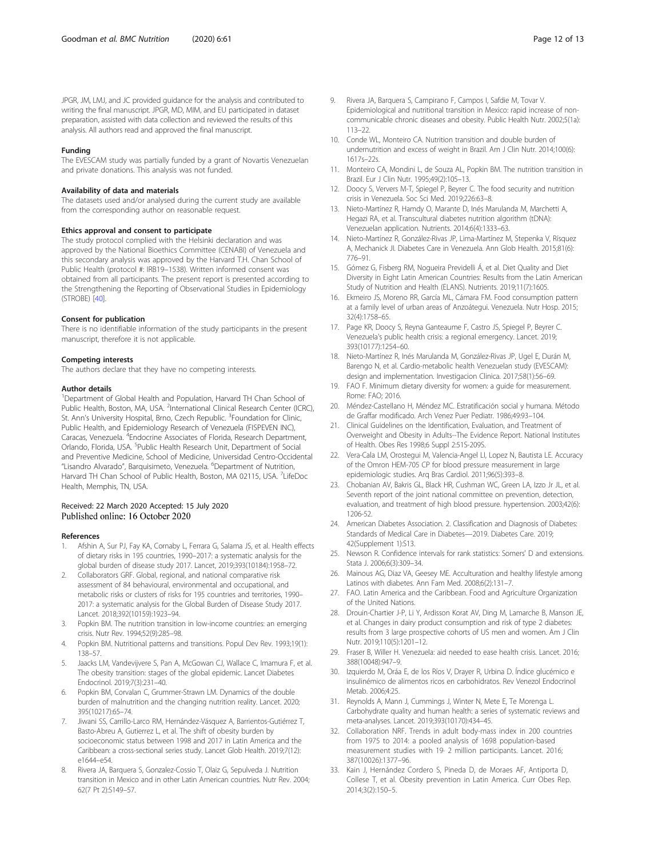<span id="page-11-0"></span>JPGR, JM, LMJ, and JC provided guidance for the analysis and contributed to writing the final manuscript. JPGR, MD, MIM, and EU participated in dataset preparation, assisted with data collection and reviewed the results of this analysis. All authors read and approved the final manuscript.

#### Funding

The EVESCAM study was partially funded by a grant of Novartis Venezuelan and private donations. This analysis was not funded.

#### Availability of data and materials

The datasets used and/or analysed during the current study are available from the corresponding author on reasonable request.

#### Ethics approval and consent to participate

The study protocol complied with the Helsinki declaration and was approved by the National Bioethics Committee (CENABI) of Venezuela and this secondary analysis was approved by the Harvard T.H. Chan School of Public Health (protocol #: IRB19–1538). Written informed consent was obtained from all participants. The present report is presented according to the Strengthening the Reporting of Observational Studies in Epidemiology (STROBE) [[40\]](#page-12-0).

#### Consent for publication

There is no identifiable information of the study participants in the present manuscript, therefore it is not applicable.

#### Competing interests

The authors declare that they have no competing interests.

#### Author details

<sup>1</sup>Department of Global Health and Population, Harvard TH Chan School of Public Health, Boston, MA, USA. <sup>2</sup>International Clinical Research Center (ICRC), St. Ann's University Hospital, Brno, Czech Republic. <sup>3</sup>Foundation for Clinic, Public Health, and Epidemiology Research of Venezuela (FISPEVEN INC), Caracas, Venezuela. <sup>4</sup>Endocrine Associates of Florida, Research Department, Orlando, Florida, USA. <sup>5</sup>Public Health Research Unit, Department of Social and Preventive Medicine, School of Medicine, Universidad Centro-Occidental "Lisandro Alvarado", Barquisimeto, Venezuela. <sup>6</sup>Department of Nutrition, Harvard TH Chan School of Public Health, Boston, MA 02115, USA. <sup>7</sup>LifeDoc Health, Memphis, TN, USA.

#### Received: 22 March 2020 Accepted: 15 July 2020 Published online: 16 October 2020

#### References

- 1. Afshin A, Sur PJ, Fay KA, Cornaby L, Ferrara G, Salama JS, et al. Health effects of dietary risks in 195 countries, 1990–2017: a systematic analysis for the global burden of disease study 2017. Lancet, 2019;393(10184):1958–72.
- 2. Collaborators GRF. Global, regional, and national comparative risk assessment of 84 behavioural, environmental and occupational, and metabolic risks or clusters of risks for 195 countries and territories, 1990– 2017: a systematic analysis for the Global Burden of Disease Study 2017. Lancet. 2018;392(10159):1923–94.
- 3. Popkin BM. The nutrition transition in low-income countries: an emerging crisis. Nutr Rev. 1994;52(9):285–98.
- 4. Popkin BM. Nutritional patterns and transitions. Popul Dev Rev. 1993;19(1): 138–57.
- 5. Jaacks LM, Vandevijvere S, Pan A, McGowan CJ, Wallace C, Imamura F, et al. The obesity transition: stages of the global epidemic. Lancet Diabetes Endocrinol. 2019;7(3):231–40.
- 6. Popkin BM, Corvalan C, Grummer-Strawn LM. Dynamics of the double burden of malnutrition and the changing nutrition reality. Lancet. 2020; 395(10217):65–74.
- 7. Jiwani SS, Carrillo-Larco RM, Hernández-Vásquez A, Barrientos-Gutiérrez T, Basto-Abreu A, Gutierrez L, et al. The shift of obesity burden by socioeconomic status between 1998 and 2017 in Latin America and the Caribbean: a cross-sectional series study. Lancet Glob Health. 2019;7(12): e1644–e54.
- 8. Rivera JA, Barquera S, Gonzalez-Cossio T, Olaiz G, Sepulveda J. Nutrition transition in Mexico and in other Latin American countries. Nutr Rev. 2004; 62(7 Pt 2):S149–57.
- 9. Rivera JA, Barquera S, Campirano F, Campos I, Safdie M, Tovar V. Epidemiological and nutritional transition in Mexico: rapid increase of noncommunicable chronic diseases and obesity. Public Health Nutr. 2002;5(1a): 113–22.
- 10. Conde WL, Monteiro CA. Nutrition transition and double burden of undernutrition and excess of weight in Brazil. Am J Clin Nutr. 2014;100(6): 1617s–22s.
- 11. Monteiro CA, Mondini L, de Souza AL, Popkin BM. The nutrition transition in Brazil. Eur J Clin Nutr. 1995;49(2):105–13.
- 12. Doocy S, Ververs M-T, Spiegel P, Beyrer C. The food security and nutrition crisis in Venezuela. Soc Sci Med. 2019;226:63–8.
- 13. Nieto-Martínez R, Hamdy O, Marante D, Inés Marulanda M, Marchetti A, Hegazi RA, et al. Transcultural diabetes nutrition algorithm (tDNA): Venezuelan application. Nutrients. 2014;6(4):1333–63.
- 14. Nieto-Martínez R, González-Rivas JP, Lima-Martínez M, Stepenka V, Rísquez A, Mechanick JI. Diabetes Care in Venezuela. Ann Glob Health. 2015;81(6): 776–91.
- 15. Gómez G, Fisberg RM, Nogueira Previdelli Á, et al. Diet Quality and Diet Diversity in Eight Latin American Countries: Results from the Latin American Study of Nutrition and Health (ELANS). Nutrients. 2019;11(7):1605.
- 16. Ekmeiro JS, Moreno RR, García ML, Cámara FM. Food consumption pattern at a family level of urban areas of Anzoátegui. Venezuela. Nutr Hosp. 2015; 32(4):1758–65.
- 17. Page KR, Doocy S, Reyna Ganteaume F, Castro JS, Spiegel P, Beyrer C. Venezuela's public health crisis: a regional emergency. Lancet. 2019; 393(10177):1254–60.
- 18. Nieto-Martínez R, Inés Marulanda M, González-Rivas JP, Ugel E, Durán M, Barengo N, et al. Cardio-metabolic health Venezuelan study (EVESCAM): design and implementation. Investigacion Clinica. 2017;58(1):56–69.
- 19. FAO F. Minimum dietary diversity for women: a guide for measurement. Rome: FAO; 2016.
- 20. Méndez-Castellano H, Méndez MC. Estratificación social y humana. Método de Graffar modificado. Arch Venez Puer Pediatr. 1986;49:93–104.
- 21. Clinical Guidelines on the Identification, Evaluation, and Treatment of Overweight and Obesity in Adults--The Evidence Report. National Institutes of Health. Obes Res 1998;6 Suppl 2:51S-209S.
- 22. Vera-Cala LM, Orostegui M, Valencia-Angel LI, Lopez N, Bautista LE. Accuracy of the Omron HEM-705 CP for blood pressure measurement in large epidemiologic studies. Arq Bras Cardiol. 2011;96(5):393–8.
- 23. Chobanian AV, Bakris GL, Black HR, Cushman WC, Green LA, Izzo Jr JL, et al. Seventh report of the joint national committee on prevention, detection, evaluation, and treatment of high blood pressure. hypertension. 2003;42(6): 1206-52.
- 24. American Diabetes Association. 2. Classification and Diagnosis of Diabetes: Standards of Medical Care in Diabetes—2019. Diabetes Care. 2019; 42(Supplement 1):S13.
- 25. Newson R. Confidence intervals for rank statistics: Somers' D and extensions. Stata J. 2006;6(3):309–34.
- 26. Mainous AG, Diaz VA, Geesey ME. Acculturation and healthy lifestyle among Latinos with diabetes. Ann Fam Med. 2008;6(2):131–7.
- 27. FAO. Latin America and the Caribbean. Food and Agriculture Organization of the United Nations.
- 28. Drouin-Chartier J-P, Li Y, Ardisson Korat AV, Ding M, Lamarche B, Manson JE, et al. Changes in dairy product consumption and risk of type 2 diabetes: results from 3 large prospective cohorts of US men and women. Am J Clin Nutr. 2019;110(5):1201–12.
- 29. Fraser B, Willer H. Venezuela: aid needed to ease health crisis. Lancet. 2016; 388(10048):947–9.
- 30. Izquierdo M, Oráa E, de los Ríos V, Drayer R, Urbina D. Índice glucémico e insulinémico de alimentos ricos en carbohidratos. Rev Venezol Endocrinol Metab. 2006;4:25.
- 31. Reynolds A, Mann J, Cummings J, Winter N, Mete E, Te Morenga L. Carbohydrate quality and human health: a series of systematic reviews and meta-analyses. Lancet. 2019;393(10170):434–45.
- 32. Collaboration NRF. Trends in adult body-mass index in 200 countries from 1975 to 2014: a pooled analysis of 1698 population-based measurement studies with 19· 2 million participants. Lancet. 2016; 387(10026):1377–96.
- 33. Kain J, Hernández Cordero S, Pineda D, de Moraes AF, Antiporta D, Collese T, et al. Obesity prevention in Latin America. Curr Obes Rep. 2014;3(2):150–5.